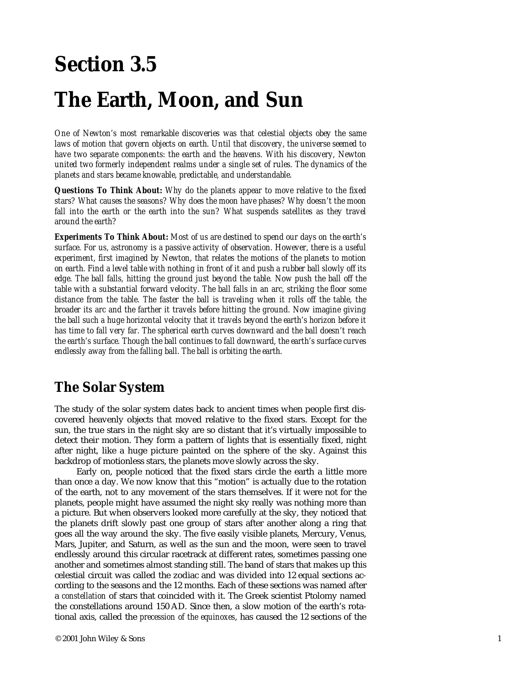# **Section 3.5**

# **The Earth, Moon, and Sun**

*One of Newton's most remarkable discoveries was that celestial objects obey the same laws of motion that govern objects on earth. Until that discovery, the universe seemed to have two separate components: the earth and the heavens. With his discovery, Newton united two formerly independent realms under a single set of rules. The dynamics of the planets and stars became knowable, predictable, and understandable.* 

*Questions To Think About: Why do the planets appear to move relative to the fixed stars? What causes the seasons? Why does the moon have phases? Why doesn't the moon*  fall into the earth or the earth into the sun? What suspends satellites as they travel *around the earth?* 

*Experiments To Think About: Most of us are destined to spend our days on the earth's surface. For us, astronomy is a passive activity of observation. However, there is a useful experiment, first imagined by Newton, that relates the motions of the planets to motion on earth. Find a level table with nothing in front of it and push a rubber ball slowly off its edge. The ball falls, hitting the ground just beyond the table. Now push the ball off the table with a substantial forward velocity. The ball falls in an arc, striking the floor some*  distance from the table. The faster the ball is traveling when it rolls off the table, the *broader its arc and the farther it travels before hitting the ground. Now imagine giving the ball such a huge horizontal velocity that it travels beyond the earth's horizon before it has time to fall very far. The spherical earth curves downward and the ball doesn't reach the earth's surface. Though the ball continues to fall downward, the earth's surface curves endlessly away from the falling ball. The ball is orbiting the earth.* 

## **The Solar System**

The study of the solar system dates back to ancient times when people first discovered heavenly objects that moved relative to the fixed stars. Except for the sun, the true stars in the night sky are so distant that it's virtually impossible to detect their motion. They form a pattern of lights that is essentially fixed, night after night, like a huge picture painted on the sphere of the sky. Against this backdrop of motionless stars, the planets move slowly across the sky.

Early on, people noticed that the fixed stars circle the earth a little more than once a day. We now know that this "motion" is actually due to the rotation of the earth, not to any movement of the stars themselves. If it were not for the planets, people might have assumed the night sky really was nothing more than a picture. But when observers looked more carefully at the sky, they noticed that the planets drift slowly past one group of stars after another along a ring that goes all the way around the sky. The five easily visible planets, Mercury, Venus, Mars, Jupiter, and Saturn, as well as the sun and the moon, were seen to travel endlessly around this circular racetrack at different rates, sometimes passing one another and sometimes almost standing still. The band of stars that makes up this celestial circuit was called the zodiac and was divided into 12 equal sections according to the seasons and the 12 months. Each of these sections was named after a *constellation* of stars that coincided with it. The Greek scientist Ptolomy named the constellations around 150 AD. Since then, a slow motion of the earth's rotational axis, called the *precession of the equinoxes*, has caused the 12 sections of the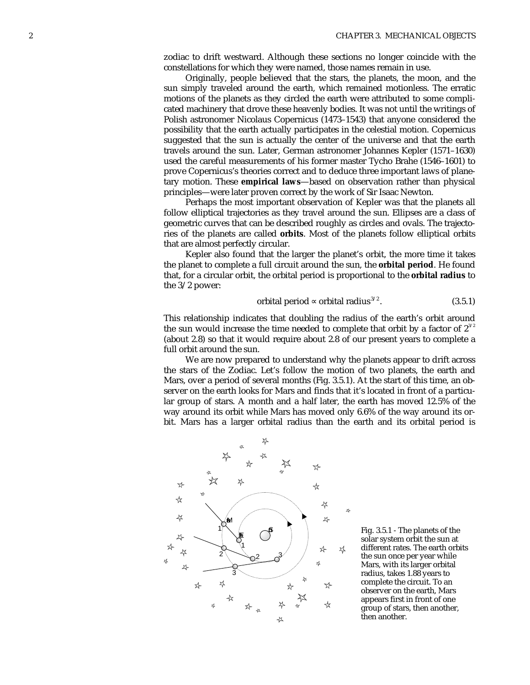zodiac to drift westward. Although these sections no longer coincide with the constellations for which they were named, those names remain in use.

Originally, people believed that the stars, the planets, the moon, and the sun simply traveled around the earth, which remained motionless. The erratic motions of the planets as they circled the earth were attributed to some complicated machinery that drove these heavenly bodies. It was not until the writings of Polish astronomer Nicolaus Copernicus (1473–1543) that anyone considered the possibility that the earth actually participates in the celestial motion. Copernicus suggested that the sun is actually the center of the universe and that the earth travels around the sun. Later, German astronomer Johannes Kepler (1571–1630) used the careful measurements of his former master Tycho Brahe (1546–1601) to prove Copernicus's theories correct and to deduce three important laws of planetary motion. These **empirical laws**—based on observation rather than physical principles—were later proven correct by the work of Sir Isaac Newton.

Perhaps the most important observation of Kepler was that the planets all follow elliptical trajectories as they travel around the sun. Ellipses are a class of geometric curves that can be described roughly as circles and ovals. The trajectories of the planets are called **orbits**. Most of the planets follow elliptical orbits that are almost perfectly circular.

Kepler also found that the larger the planet's orbit, the more time it takes the planet to complete a full circuit around the sun, the **orbital period**. He found that, for a circular orbit, the orbital period is proportional to the **orbital radius** to the 3/2 power:

$$
orbital period \sim orbital radius^{3/2}.
$$
 (3.5.1)

This relationship indicates that doubling the radius of the earth's orbit around the sun would increase the time needed to complete that orbit by a factor of  $2^{3/2}$ (about 2.8) so that it would require about 2.8 of our present years to complete a full orbit around the sun.

We are now prepared to understand why the planets appear to drift across the stars of the Zodiac. Let's follow the motion of two planets, the earth and Mars, over a period of several months (Fig. 3.5.1). At the start of this time, an observer on the earth looks for Mars and finds that it's located in front of a particular group of stars. A month and a half later, the earth has moved 12.5% of the way around its orbit while Mars has moved only 6.6% of the way around its orbit. Mars has a larger orbital radius than the earth and its orbital period is



Fig. 3.5.1 - The planets of the solar system orbit the sun at different rates. The earth orbits the sun once per year while Mars, with its larger orbital radius, takes 1.88 years to complete the circuit. To an observer on the earth, Mars appears first in front of one group of stars, then another, then another.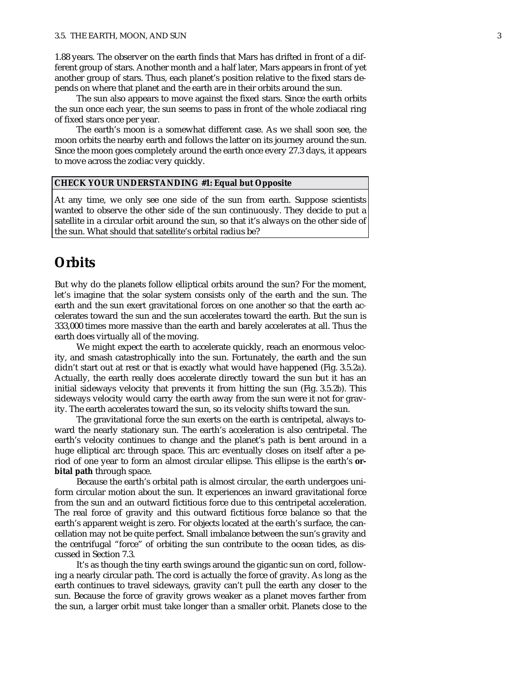1.88 years. The observer on the earth finds that Mars has drifted in front of a different group of stars. Another month and a half later, Mars appears in front of yet another group of stars. Thus, each planet's position relative to the fixed stars depends on where that planet and the earth are in their orbits around the sun.

The sun also appears to move against the fixed stars. Since the earth orbits the sun once each year, the sun seems to pass in front of the whole zodiacal ring of fixed stars once per year.

The earth's moon is a somewhat different case. As we shall soon see, the moon orbits the nearby earth and follows the latter on its journey around the sun. Since the moon goes completely around the earth once every 27.3 days, it appears to move across the zodiac very quickly.

#### **CHECK YOUR UNDERSTANDING #1: Equal but Opposite**

At any time, we only see one side of the sun from earth. Suppose scientists wanted to observe the other side of the sun continuously. They decide to put a satellite in a circular orbit around the sun, so that it's always on the other side of the sun. What should that satellite's orbital radius be?

### **Orbits**

But why do the planets follow elliptical orbits around the sun? For the moment, let's imagine that the solar system consists only of the earth and the sun. The earth and the sun exert gravitational forces on one another so that the earth accelerates toward the sun and the sun accelerates toward the earth. But the sun is 333,000 times more massive than the earth and barely accelerates at all. Thus the earth does virtually all of the moving.

We might expect the earth to accelerate quickly, reach an enormous velocity, and smash catastrophically into the sun. Fortunately, the earth and the sun didn't start out at rest or that is exactly what would have happened (Fig. 3.5.2*a*). Actually, the earth really does accelerate directly toward the sun but it has an initial sideways velocity that prevents it from hitting the sun (Fig. 3.5.2*b*). This sideways velocity would carry the earth away from the sun were it not for gravity. The earth accelerates toward the sun, so its velocity shifts toward the sun.

The gravitational force the sun exerts on the earth is centripetal, always toward the nearly stationary sun. The earth's acceleration is also centripetal. The earth's velocity continues to change and the planet's path is bent around in a huge elliptical arc through space. This arc eventually closes on itself after a period of one year to form an almost circular ellipse. This ellipse is the earth's **orbital path** through space.

Because the earth's orbital path is almost circular, the earth undergoes uniform circular motion about the sun. It experiences an inward gravitational force from the sun and an outward fictitious force due to this centripetal acceleration. The real force of gravity and this outward fictitious force balance so that the earth's apparent weight is zero. For objects located at the earth's surface, the cancellation may not be quite perfect. Small imbalance between the sun's gravity and the centrifugal "force" of orbiting the sun contribute to the ocean tides, as discussed in Section 7.3.

It's as though the tiny earth swings around the gigantic sun on cord, following a nearly circular path. The cord is actually the force of gravity. As long as the earth continues to travel sideways, gravity can't pull the earth any closer to the sun. Because the force of gravity grows weaker as a planet moves farther from the sun, a larger orbit must take longer than a smaller orbit. Planets close to the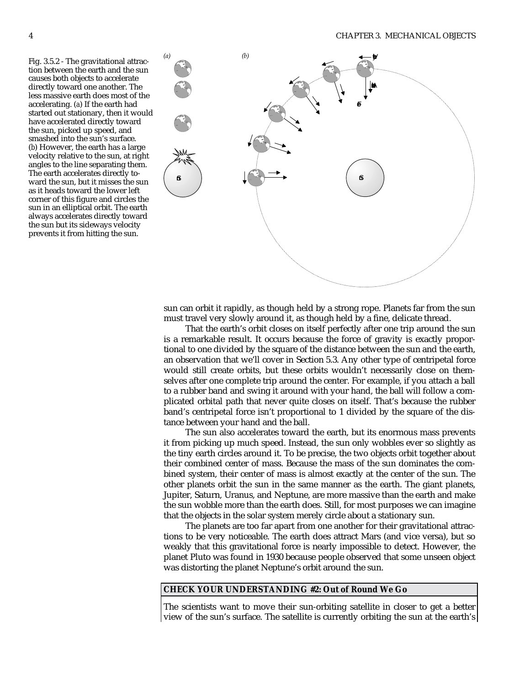tion between the earth and the sun causes both objects to accelerate directly toward one another. The less massive earth does most of the accelerating. (*a*) If the earth had started out stationary, then it would have accelerated directly toward the sun, picked up speed, and smashed into the sun's surface. (*b*) However, the earth has a large velocity relative to the sun, at right angles to the line separating them. The earth accelerates directly toward the sun, but it misses the sun as it heads toward the lower left corner of this figure and circles the sun in an elliptical orbit. The earth always accelerates directly toward the sun but its sideways velocity prevents it from hitting the sun.



sun can orbit it rapidly, as though held by a strong rope. Planets far from the sun must travel very slowly around it, as though held by a fine, delicate thread.

That the earth's orbit closes on itself perfectly after one trip around the sun is a remarkable result. It occurs because the force of gravity is exactly proportional to one divided by the square of the distance between the sun and the earth, an observation that we'll cover in Section 5.3. Any other type of centripetal force would still create orbits, but these orbits wouldn't necessarily close on themselves after one complete trip around the center. For example, if you attach a ball to a rubber band and swing it around with your hand, the ball will follow a complicated orbital path that never quite closes on itself. That's because the rubber band's centripetal force isn't proportional to 1 divided by the square of the distance between your hand and the ball.

The sun also accelerates toward the earth, but its enormous mass prevents it from picking up much speed. Instead, the sun only wobbles ever so slightly as the tiny earth circles around it. To be precise, the two objects orbit together about their combined center of mass. Because the mass of the sun dominates the combined system, their center of mass is almost exactly at the center of the sun. The other planets orbit the sun in the same manner as the earth. The giant planets, Jupiter, Saturn, Uranus, and Neptune, are more massive than the earth and make the sun wobble more than the earth does. Still, for most purposes we can imagine that the objects in the solar system merely circle about a stationary sun.

The planets are too far apart from one another for their gravitational attractions to be very noticeable. The earth does attract Mars (and vice versa), but so weakly that this gravitational force is nearly impossible to detect. However, the planet Pluto was found in 1930 because people observed that some unseen object was distorting the planet Neptune's orbit around the sun.

#### **CHECK YOUR UNDERSTANDING #2: Out of Round We Go**

The scientists want to move their sun-orbiting satellite in closer to get a better view of the sun's surface. The satellite is currently orbiting the sun at the earth's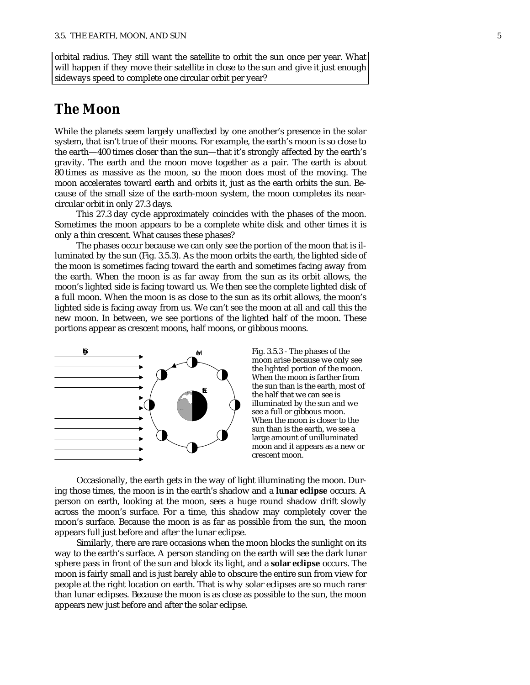orbital radius. They still want the satellite to orbit the sun once per year. What will happen if they move their satellite in close to the sun and give it just enough sideways speed to complete one circular orbit per year?

### **The Moon**

While the planets seem largely unaffected by one another's presence in the solar system, that isn't true of their moons. For example, the earth's moon is so close to the earth—400 times closer than the sun—that it's strongly affected by the earth's gravity. The earth and the moon move together as a pair. The earth is about 80 times as massive as the moon, so the moon does most of the moving. The moon accelerates toward earth and orbits it, just as the earth orbits the sun. Because of the small size of the earth-moon system, the moon completes its nearcircular orbit in only 27.3 days.

This 27.3 day cycle approximately coincides with the phases of the moon. Sometimes the moon appears to be a complete white disk and other times it is only a thin crescent. What causes these phases?

The phases occur because we can only see the portion of the moon that is illuminated by the sun (Fig. 3.5.3). As the moon orbits the earth, the lighted side of the moon is sometimes facing toward the earth and sometimes facing away from the earth. When the moon is as far away from the sun as its orbit allows, the moon's lighted side is facing toward us. We then see the complete lighted disk of a full moon. When the moon is as close to the sun as its orbit allows, the moon's lighted side is facing away from us. We can't see the moon at all and call this the new moon. In between, we see portions of the lighted half of the moon. These portions appear as crescent moons, half moons, or gibbous moons.





Occasionally, the earth gets in the way of light illuminating the moon. During those times, the moon is in the earth's shadow and a **lunar eclipse** occurs. A person on earth, looking at the moon, sees a huge round shadow drift slowly across the moon's surface. For a time, this shadow may completely cover the moon's surface. Because the moon is as far as possible from the sun, the moon appears full just before and after the lunar eclipse.

Similarly, there are rare occasions when the moon blocks the sunlight on its way to the earth's surface. A person standing on the earth will see the dark lunar sphere pass in front of the sun and block its light, and a **solar eclipse** occurs. The moon is fairly small and is just barely able to obscure the entire sun from view for people at the right location on earth. That is why solar eclipses are so much rarer than lunar eclipses. Because the moon is as close as possible to the sun, the moon appears new just before and after the solar eclipse.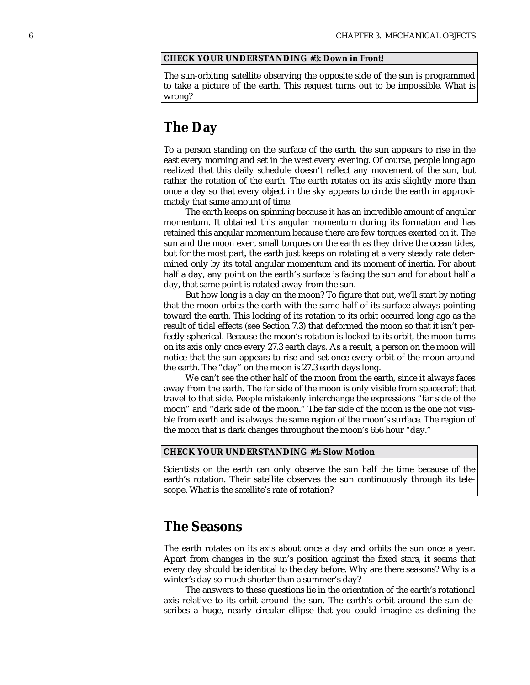#### **CHECK YOUR UNDERSTANDING #3: Down in Front!**

The sun-orbiting satellite observing the opposite side of the sun is programmed to take a picture of the earth. This request turns out to be impossible. What is wrong?

## **The Day**

To a person standing on the surface of the earth, the sun appears to rise in the east every morning and set in the west every evening. Of course, people long ago realized that this daily schedule doesn't reflect any movement of the sun, but rather the rotation of the earth. The earth rotates on its axis slightly more than once a day so that every object in the sky appears to circle the earth in approximately that same amount of time.

The earth keeps on spinning because it has an incredible amount of angular momentum. It obtained this angular momentum during its formation and has retained this angular momentum because there are few torques exerted on it. The sun and the moon exert small torques on the earth as they drive the ocean tides, but for the most part, the earth just keeps on rotating at a very steady rate determined only by its total angular momentum and its moment of inertia. For about half a day, any point on the earth's surface is facing the sun and for about half a day, that same point is rotated away from the sun.

But how long is a day on the moon? To figure that out, we'll start by noting that the moon orbits the earth with the same half of its surface always pointing toward the earth. This locking of its rotation to its orbit occurred long ago as the result of tidal effects (see Section 7.3) that deformed the moon so that it isn't perfectly spherical. Because the moon's rotation is locked to its orbit, the moon turns on its axis only once every 27.3 earth days. As a result, a person on the moon will notice that the sun appears to rise and set once every orbit of the moon around the earth. The "day" on the moon is 27.3 earth days long.

We can't see the other half of the moon from the earth, since it always faces away from the earth. The far side of the moon is only visible from spacecraft that travel to that side. People mistakenly interchange the expressions "far side of the moon" and "dark side of the moon." The far side of the moon is the one not visible from earth and is always the same region of the moon's surface. The region of the moon that is dark changes throughout the moon's 656 hour "day."

#### **CHECK YOUR UNDERSTANDING #4: Slow Motion**

Scientists on the earth can only observe the sun half the time because of the earth's rotation. Their satellite observes the sun continuously through its telescope. What is the satellite's rate of rotation?

### **The Seasons**

The earth rotates on its axis about once a day and orbits the sun once a year. Apart from changes in the sun's position against the fixed stars, it seems that every day should be identical to the day before. Why are there seasons? Why is a winter's day so much shorter than a summer's day?

The answers to these questions lie in the orientation of the earth's rotational axis relative to its orbit around the sun. The earth's orbit around the sun describes a huge, nearly circular ellipse that you could imagine as defining the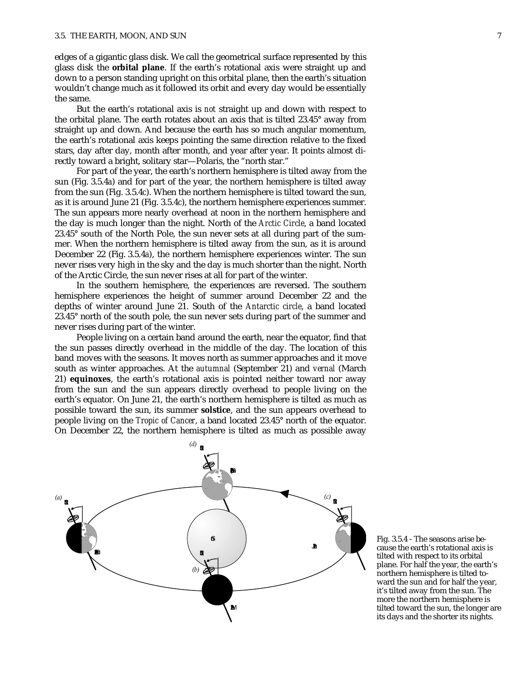edges of a gigantic glass disk. We call the geometrical surface represented by this glass disk the **orbital plane**. If the earth's rotational axis were straight up and down to a person standing upright on this orbital plane, then the earth's situation wouldn't change much as it followed its orbit and every day would be essentially the same.

But the earth's rotational axis is *not* straight up and down with respect to the orbital plane. The earth rotates about an axis that is tilted 23.45° away from straight up and down. And because the earth has so much angular momentum, the earth's rotational axis keeps pointing the same direction relative to the fixed stars, day after day, month after month, and year after year. It points almost directly toward a bright, solitary star—Polaris, the "north star."

For part of the year, the earth's northern hemisphere is tilted away from the sun (Fig. 3.5.4*a*) and for part of the year, the northern hemisphere is tilted away from the sun (Fig. 3.5.4*c*). When the northern hemisphere is tilted toward the sun, as it is around June 21 (Fig. 3.5.4*c*), the northern hemisphere experiences summer. The sun appears more nearly overhead at noon in the northern hemisphere and the day is much longer than the night. North of the *Arctic Circle*, a band located 23.45° south of the North Pole, the sun never sets at all during part of the summer. When the northern hemisphere is tilted away from the sun, as it is around December 22 (Fig. 3.5.4*a*), the northern hemisphere experiences winter. The sun never rises very high in the sky and the day is much shorter than the night. North of the Arctic Circle, the sun never rises at all for part of the winter.

In the southern hemisphere, the experiences are reversed. The southern hemisphere experiences the height of summer around December 22 and the depths of winter around June 21. South of the *Antarctic circle*, a band located 23.45° north of the south pole, the sun never sets during part of the summer and never rises during part of the winter.

People living on a certain band around the earth, near the equator, find that the sun passes directly overhead in the middle of the day. The location of this band moves with the seasons. It moves north as summer approaches and it move south as winter approaches. At the *autumnal* (September 21) and *vernal* (March 21) **equinoxes**, the earth's rotational axis is pointed neither toward nor away from the sun and the sun appears directly overhead to people living on the earth's equator. On June 21, the earth's northern hemisphere is tilted as much as possible toward the sun, its summer **solstice**, and the sun appears overhead to people living on the *Tropic of Cancer*, a band located 23.45° north of the equator. On December 22, the northern hemisphere is tilted as much as possible away



Fig. 3.5.4 - The seasons arise because the earth's rotational axis is tilted with respect to its orbital plane. For half the year, the earth's northern hemisphere is tilted toward the sun and for half the year, it's tilted away from the sun. The more the northern hemisphere is tilted toward the sun, the longer are its days and the shorter its nights.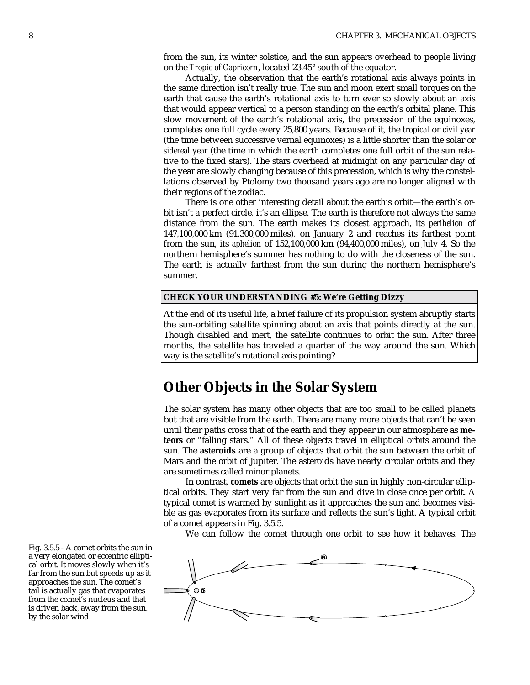from the sun, its winter solstice, and the sun appears overhead to people living on the *Tropic of Capricorn*, located 23.45° south of the equator.

Actually, the observation that the earth's rotational axis always points in the same direction isn't really true. The sun and moon exert small torques on the earth that cause the earth's rotational axis to turn ever so slowly about an axis that would appear vertical to a person standing on the earth's orbital plane. This slow movement of the earth's rotational axis, the precession of the equinoxes, completes one full cycle every 25,800 years. Because of it, the *tropical* or *civil year* (the time between successive vernal equinoxes) is a little shorter than the solar or *sidereal year* (the time in which the earth completes one full orbit of the sun relative to the fixed stars). The stars overhead at midnight on any particular day of the year are slowly changing because of this precession, which is why the constellations observed by Ptolomy two thousand years ago are no longer aligned with their regions of the zodiac.

There is one other interesting detail about the earth's orbit—the earth's orbit isn't a perfect circle, it's an ellipse. The earth is therefore not always the same distance from the sun. The earth makes its closest approach, its *perihelion* of 147,100,000 km (91,300,000 miles), on January 2 and reaches its farthest point from the sun, its *aphelion* of 152,100,000 km (94,400,000 miles), on July 4. So the northern hemisphere's summer has nothing to do with the closeness of the sun. The earth is actually farthest from the sun during the northern hemisphere's summer.

#### **CHECK YOUR UNDERSTANDING #5: We're Getting Dizzy**

At the end of its useful life, a brief failure of its propulsion system abruptly starts the sun-orbiting satellite spinning about an axis that points directly at the sun. Though disabled and inert, the satellite continues to orbit the sun. After three months, the satellite has traveled a quarter of the way around the sun. Which way is the satellite's rotational axis pointing?

### **Other Objects in the Solar System**

The solar system has many other objects that are too small to be called planets but that are visible from the earth. There are many more objects that can't be seen until their paths cross that of the earth and they appear in our atmosphere as **meteors** or "falling stars." All of these objects travel in elliptical orbits around the sun. The **asteroids** are a group of objects that orbit the sun between the orbit of Mars and the orbit of Jupiter. The asteroids have nearly circular orbits and they are sometimes called minor planets.

In contrast, **comets** are objects that orbit the sun in highly non-circular elliptical orbits. They start very far from the sun and dive in close once per orbit. A typical comet is warmed by sunlight as it approaches the sun and becomes visible as gas evaporates from its surface and reflects the sun's light. A typical orbit of a comet appears in Fig. 3.5.5.

We can follow the comet through one orbit to see how it behaves. The



Fig. 3.5.5 - A comet orbits the sun in a very elongated or eccentric elliptical orbit. It moves slowly when it's far from the sun but speeds up as it approaches the sun. The comet's tail is actually gas that evaporates from the comet's nucleus and that is driven back, away from the sun, by the solar wind.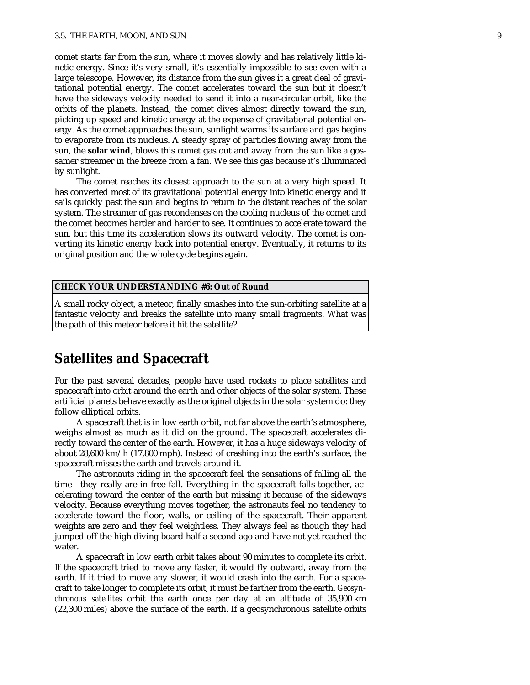comet starts far from the sun, where it moves slowly and has relatively little kinetic energy. Since it's very small, it's essentially impossible to see even with a large telescope. However, its distance from the sun gives it a great deal of gravitational potential energy. The comet accelerates toward the sun but it doesn't have the sideways velocity needed to send it into a near-circular orbit, like the orbits of the planets. Instead, the comet dives almost directly toward the sun, picking up speed and kinetic energy at the expense of gravitational potential energy. As the comet approaches the sun, sunlight warms its surface and gas begins to evaporate from its nucleus. A steady spray of particles flowing away from the sun, the **solar wind**, blows this comet gas out and away from the sun like a gossamer streamer in the breeze from a fan. We see this gas because it's illuminated by sunlight.

The comet reaches its closest approach to the sun at a very high speed. It has converted most of its gravitational potential energy into kinetic energy and it sails quickly past the sun and begins to return to the distant reaches of the solar system. The streamer of gas recondenses on the cooling nucleus of the comet and the comet becomes harder and harder to see. It continues to accelerate toward the sun, but this time its acceleration slows its outward velocity. The comet is converting its kinetic energy back into potential energy. Eventually, it returns to its original position and the whole cycle begins again.

#### **CHECK YOUR UNDERSTANDING #6: Out of Round**

A small rocky object, a meteor, finally smashes into the sun-orbiting satellite at a fantastic velocity and breaks the satellite into many small fragments. What was the path of this meteor before it hit the satellite?

### **Satellites and Spacecraft**

For the past several decades, people have used rockets to place satellites and spacecraft into orbit around the earth and other objects of the solar system. These artificial planets behave exactly as the original objects in the solar system do: they follow elliptical orbits.

A spacecraft that is in low earth orbit, not far above the earth's atmosphere, weighs almost as much as it did on the ground. The spacecraft accelerates directly toward the center of the earth. However, it has a huge sideways velocity of about 28,600 km/h (17,800 mph). Instead of crashing into the earth's surface, the spacecraft misses the earth and travels around it.

The astronauts riding in the spacecraft feel the sensations of falling all the time—they really are in free fall. Everything in the spacecraft falls together, accelerating toward the center of the earth but missing it because of the sideways velocity. Because everything moves together, the astronauts feel no tendency to accelerate toward the floor, walls, or ceiling of the spacecraft. Their apparent weights are zero and they feel weightless. They always feel as though they had jumped off the high diving board half a second ago and have not yet reached the water.

A spacecraft in low earth orbit takes about 90 minutes to complete its orbit. If the spacecraft tried to move any faster, it would fly outward, away from the earth. If it tried to move any slower, it would crash into the earth. For a spacecraft to take longer to complete its orbit, it must be farther from the earth. *Geosynchronous satellites* orbit the earth once per day at an altitude of 35,900 km (22,300 miles) above the surface of the earth. If a geosynchronous satellite orbits